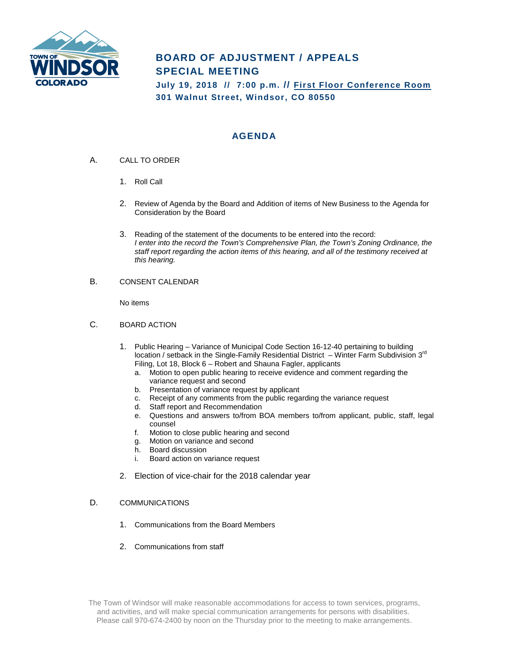

# **BOARD OF ADJUSTMENT / APPEALS SPECIAL MEETING**

**July 19, 2018 // 7:00 p.m. // First Floor Conference Room 301 Walnut Street, Windsor, CO 80550**

## **AGENDA**

- A. CALL TO ORDER
	- 1. Roll Call
	- 2. Review of Agenda by the Board and Addition of items of New Business to the Agenda for Consideration by the Board
	- 3. Reading of the statement of the documents to be entered into the record: *I enter into the record the Town's Comprehensive Plan, the Town's Zoning Ordinance, the staff report regarding the action items of this hearing, and all of the testimony received at this hearing.*
- B. CONSENT CALENDAR

No items

- C. BOARD ACTION
	- 1. Public Hearing Variance of Municipal Code Section 16-12-40 pertaining to building location / setback in the Single-Family Residential District – Winter Farm Subdivision 3<sup>rd</sup> Filing, Lot 18, Block 6 – Robert and Shauna Fagler, applicants
		- a. Motion to open public hearing to receive evidence and comment regarding the variance request and second
		- b. Presentation of variance request by applicant
		- c. Receipt of any comments from the public regarding the variance request
		- d. Staff report and Recommendation
		- e. Questions and answers to/from BOA members to/from applicant, public, staff, legal counsel
		- f. Motion to close public hearing and second
		- g. Motion on variance and second
		- h. Board discussion
		- i. Board action on variance request
	- 2. Election of vice-chair for the 2018 calendar year

#### D. COMMUNICATIONS

- 1. Communications from the Board Members
- 2. Communications from staff

The Town of Windsor will make reasonable accommodations for access to town services, programs, and activities, and will make special communication arrangements for persons with disabilities. Please call 970-674-2400 by noon on the Thursday prior to the meeting to make arrangements.